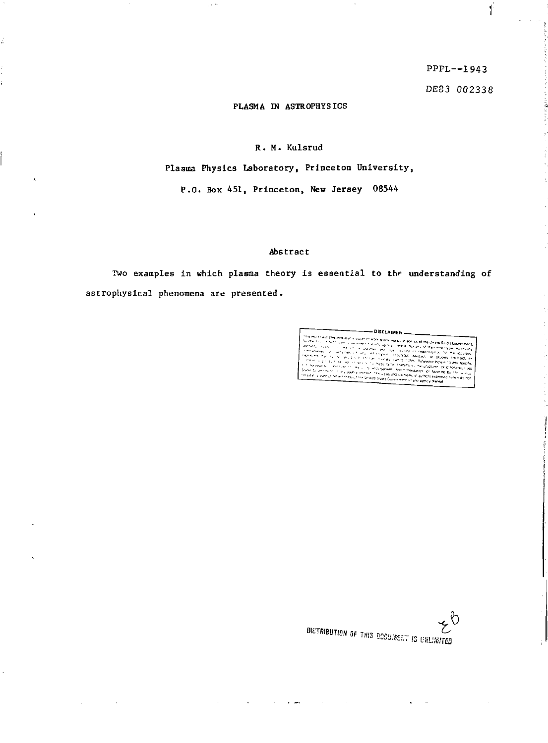PPPL—1943

 $\mathbf{I}$ 

DE83 *002331* 

### PLASMA IN ASTROPHYSICS

 $\sim$   $\sim$ 

## R. M. Kulsrud

Plasma Physics Laboratory, Princeton University,

P.O. Box 451, Princeton, Hew Jersey 08544

# Abstract

Two examples in which plasma theory Is essential to *the* understanding of astrophyslcal phenomena are presented.

 $\sim$   $\sim$ 

DISCLAIMER

 $\begin{array}{l} \textbf{DISL} \textbf{L} \textbf{R} \textbf{E} \textbf{F} \\ \textbf{S} \textbf{S} \textbf{I} \textbf{I} \textbf{I} \textbf{I} \textbf{I} \textbf{I} \textbf{I} \textbf{I} \textbf{I} \textbf{I} \textbf{I} \textbf{I} \textbf{I} \textbf{I} \textbf{I} \textbf{I} \textbf{I} \textbf{I} \textbf{I} \textbf{I} \textbf{I} \textbf{I} \textbf{I} \textbf{I} \textbf{I} \textbf{I} \textbf{I} \textbf{I} \$ 

Die Oliver of THIS SSSSIME.'" !S USU teiner *b*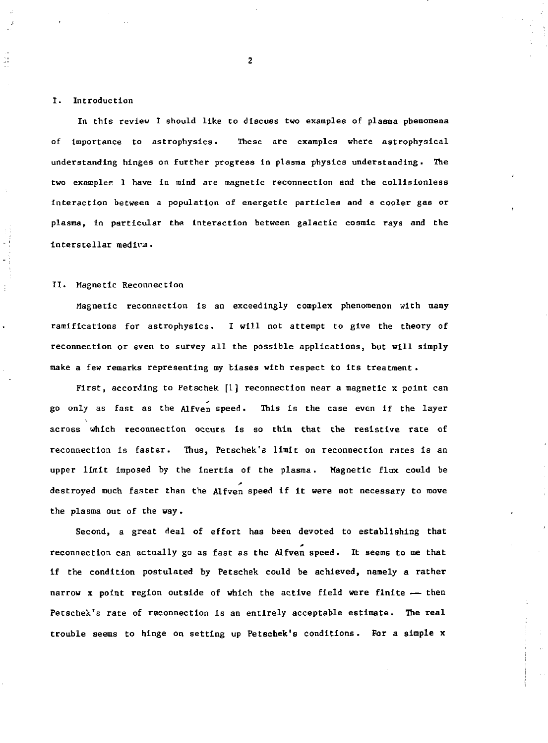### **I. Introduction**

ă,

**In this review I should like to discuss two examples of plasma phenomena of importance to astrophysics. These are examples where astrophysical understanding hinges on further progress in plasma physics understanding. The two example? I have in mind are magnetic reconnection and the collisionless Interaction between a population of energetic particles and a cooler gas or plasma, in particular the interaction between galactic cosmic rays and the interstellar mediva.** 

#### **II. Magnetic Reconnection**

**Magnetic reconnection Is an exceedingly complex phenomenon with many ramifications for astrophysics. I will not attempt to give the theory of reconnection or even to survey all the possible applications, but will simply make a few remarks representing my biases with respect to Its treatment .** 

**First, according to Petschek [1] reconnection near a magnetic x point can go only as fast as the Alfven speed. This is the case even if the layer across which reconnection occurs is so thin that the resistive rate of reconnection is faster. Thus, Petschek's limit on reconnection rates is an upper limit imposed by the inertia of the plasma. Magnetic flux could be destroyed much faster than the Alfven speed if it were not necessary to move the plasma out of the way.** 

**Second, a great deal of effort has been devoted to establishing that reconnection can actually go as fast as the Alfven speed. It seems to me that if the condition postulated by Petschek could be achieved, namely a rather narrow x point region outside of which the active field were finite — then Petschek's rate of reconnection Is an entirely acceptable estimate. The real trouble seems to hinge on setting up Petschek's conditions. For a simple x**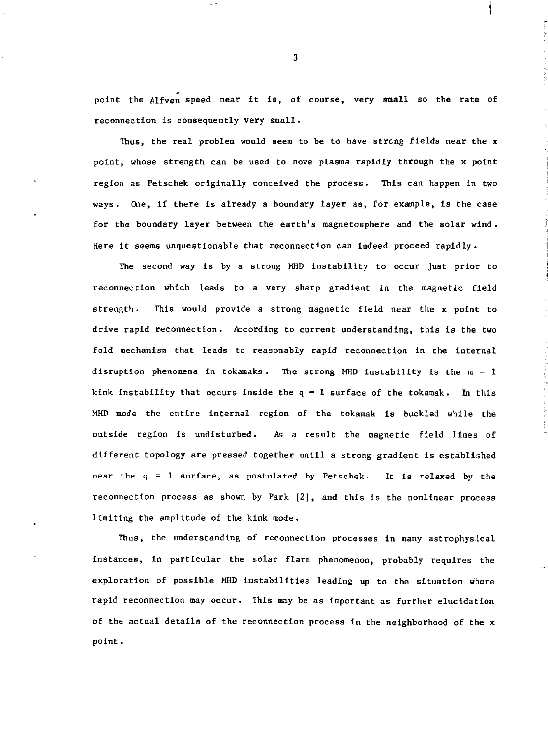point the Alfven speed near it is, of course, very small so the rate of reconnection is consequently very small.

Thus, the real problem would seem to be to have strong fields near the x point, whose strength can be used to move plasma rapidly through the x point region as Petschek originally conceived the process. This can happen in two ways. One, if there is already a boundary layer as, for example, is the case for the boundary layer between the earth's magnetosphere and the solar wind. Here it seems unquestionable that reconnection can indeed proceed rapidly.

The second way is by a strong MHD instability to occur just prior to reconnection which leads to a very sharp gradient in the magnetic field strength. This would provide a strong magnetic field near the x point to drive rapid reconnection. According to current understanding, this is the two fold mechanism that leads to reasonably rapid reconnection in the internal disruption phenomena in tokamaks. The strong MHD instability is the  $m = 1$ kink instability that occurs inside the  $q = 1$  surface of the tokamak. In this MHD mode the entire internal region of the tokaraak is buckled while the outside region is undisturbed. As a result the magnetic field lines of different topology are pressed together until a strong gradient is established near the q = 1 surface, as postulated by Petschek. It is relaxed by the reconnection process as shown by Park [2], and this is the nonlinear process limiting the amplitude of the kink mode.

Thus, the understanding of reconnection processes in many astrophysical instances, in particular the solar flare phenomenon, probably requires the exploration of possible MHD instabilities leading up to the situation where rapid reconnection may occur. This may be as important as further elucidation of the actual details of the reconnection process in the neighborhood of the x point .

3

**i**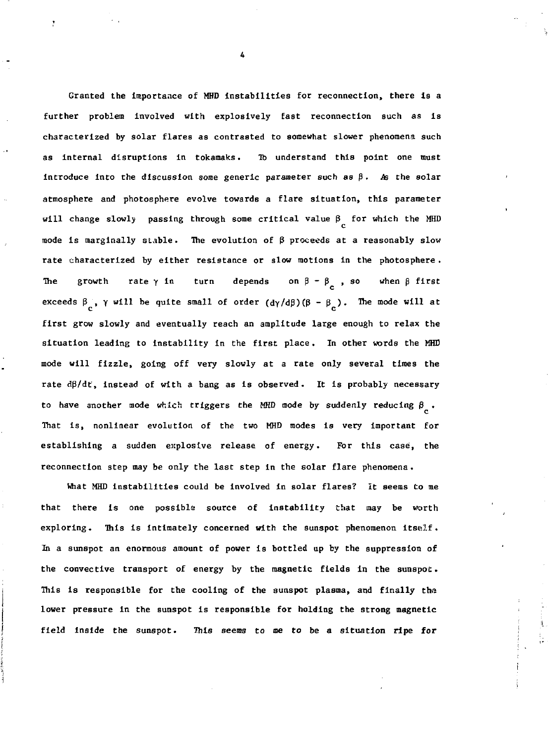**Granted the importance of MHD instabilities for reconnection, there is a further problem Involved with explosively fast reconnection such as Is characterized by solar flares as contrasted to somewhat slower phenomena such as internal disruptions in tokamaks. lb understand this point one must introduce into the discussion some generic parameter such as**  $\beta$ **.** As the solar **atmosphere and photosphere evolve towards a flare situation, this parameter will change slowly passing through some critical value p for which the MHD c mode is marginally stable. The evolution of p proceeds at a reasonably slow rate characterized by either resistance or slow motions in the photosphere . The growth rate**γ**in turn depends on β-β , so when β first exceeds**  $\beta$ ,  $\gamma$  will be quite small of order  $(d\gamma/d\beta)(\beta - \beta)$ . The mode will at **first grow slowly and eventually reach an amplitude large enough to relax the situation leading to Instability in the first place. In other words the MHD mode will fizzle, going off very slowly at a rate only several times the rate dp/dt, Instead of with a bang as is observed. It is probably necessary to have another mode which triggers the MHD mode by suddenly reducing g .**  That is, nonlinear evolution of the two MHD modes is very important for establishing a sudden explosive release of energy. For this case, the reconnection step may be only the last step in the solar flare phenomena.

What MHD instabilities could be involved in solar flares? It seems to me that there is one possible source of instability that may be worth exploring. This is intimately concerned with the sunspot phenomenon itself. In a sunspot an enormous amount of power is bottled up by the suppression of the convective transport of energy by the magnetic fields in the sunspot. This is responsible for the cooling of the sunspot plasma, and finally the lower pressure in the sunspot is responsible for holding the strong magnetic field inside the sunspot. This seems to me to be a situation ripe for

**4** 

 $\mathbf{r}$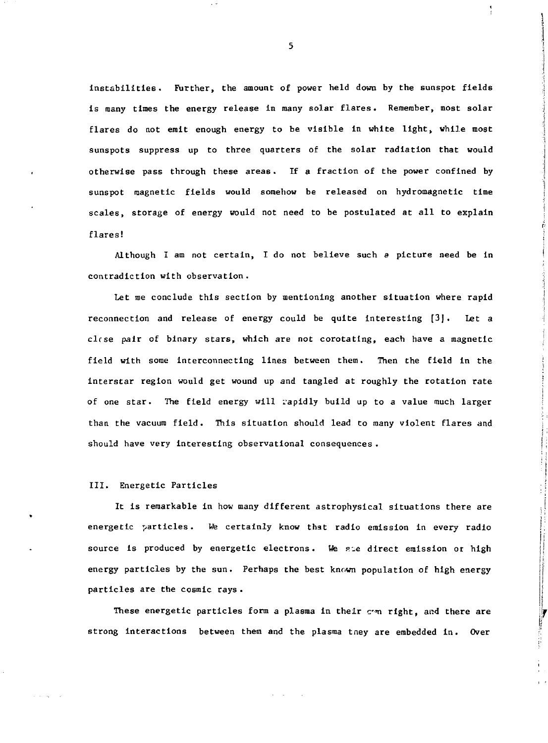instabilities. Further, the amount of power held down by the sunspot fields is many times the energy release in many solar flares. Remember, most solar flares do not emit enough energy to be visible in white light, while most sunspots suppress up to three quarters of the solar radiation that would otherwise pass through these areas . If a fraction of the power confined by sunspot magnetic fields would somehow be released on hydromagnetic time scales, storage of energy would not need to be postulated at all to explain flares!

Although I am not certain, I do not believe such *a* picture need be in contradiction with observation.

Let me conclude this section by mentioning another situation where rapid reconnection and release of energy could be quite interesting [3J. Let a clrse pair of binary stars, which are not corotating, each have a magnetic field with some interconnecting lines between them. Then the field in the interstar region would get wound up and tangled at roughly the rotation rate of one star. The field energy will rapidly build up to a value much larger than the vacuum field. This situation should lead to many violent flares and should have very interesting observational consequences .

#### III. Energetic Particles

It is remarkable in how many different astrophysical situations there are energetic particles. *We* certainly know that radio emission in every radio source is produced by energetic electrons. We sie direct emission or high energy particles by the sun. Perhaps the best known population of high energy particles are the cosmic rays .

These energetic particles form a plasma in their can right, and there are strong interactions between them and the plasma tney are embedded in. Over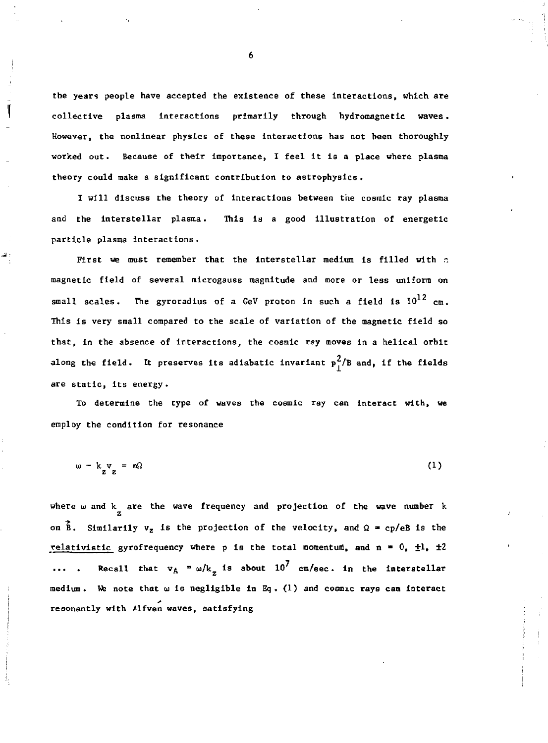**the years people have accepted the existence of these Interactions, which are collective plasma interactions primarily through hydromagnetic waves. However, the nonlinear physics of these Interactions has not been thoroughly worked out. Because of their importance, I feel it is a place where plasma theory could make a significant contribution to astrophysics .** 

I will discuss the theory of interactions between the cosmic ray plasma **and the interstellar plasma. This is a good illustration of energetic particle plasma interactions.** 

First we must remember that the interstellar medium is filled with a **magnetic field of several mlcrogauss magnitude and more or less uniform on**  small scales. The gyroradius of a GeV proton in such a field is  $10^{12}$  cm. **This is very small compared to the scale of variation of the magnetic field so that, in the absence of interactions, the cosmic ray moves in a helical orbit**  along the field. It preserves its adiabatic invariant  $p_1^2/B$  and, if the fields **are static, its energy.** 

**To determine the type of waves the cosmic ray can interact with, we employ the condition for resonance** 

$$
\omega - k_{\mathbf{z}} \mathbf{v}_{\mathbf{z}} = n\Omega \tag{1}
$$

where  $\omega$  and k are the wave frequency and projection of the wave number k  $z$ on  $\overline{B}$ . Similarily  $v_z$  is the projection of the velocity, and  $\Omega = cp/eB$  is the **relativistic gyrofrequency where p is the total momentum, and**  $n = 0$ **,**  $\pm 1$ **,**  $\pm 2$ **Recall that**  $v_A = \omega/k_a$  **is about 10<sup>7</sup> cm/sec. in the interstellar medium. We note that co is negligible in Eq . (1) and cosmic rays can interact resonantly with Mfven waves, satisfying**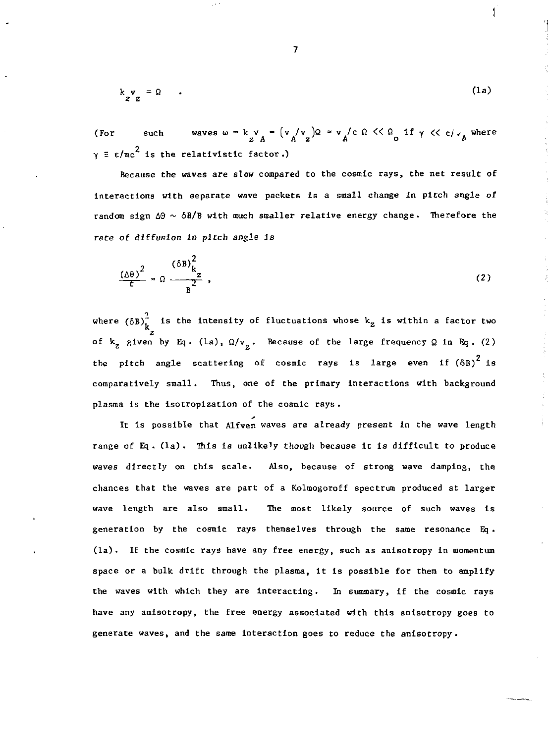$$
\begin{array}{ccc}\nk & v & = \Omega & . \\
z & z & \n\end{array} \tag{1a}
$$

(For such waves  $\omega = k v = (v / v) \Omega \approx v / c \Omega \leq C \Omega \text{ if } \gamma \leq c / c \text{ where }$  $\gamma$  =  $\varepsilon/\text{\tt mc}^2$  is the relativistic factor.)

Because the waves are slow compared to the cosmic rays, the net result of Interactions with separate wave packets Is a small change In pitch angle of random sign  $\Delta\Theta \sim \delta B/B$  with much smaller relative energy change. Therefore the rate of *diffusion in* pitch angle is

$$
\frac{(\Delta \theta)^2}{t} \approx \Omega \frac{(\delta B)^2_{k_z}}{B^2},
$$
 (2)

where  $(\delta B)_{i}^2$  is the intensity of fluctuations whose  $\mathsf{k}_\mathbf{z}$  is within a factor two z of *V-z* given by Eq . (la), *Q/v* . Because of the large frequency 2 in Eq . (2) the pitch angle scattering of cosmic rays is large even if  $(\delta B)^2$  is comparatively small. Thus, one of the primary interactions with background plasma is the isotropization of the cosmic rays .

It is possible that Alfven waves are already present in the wave length range of Eq . (la) . This is unlikely though because it is difficult to produce waves directly on this scale. Also, because of strong wave damping, the chances that the waves are part of a Kolmogoroff spectrum produced at larger wave length are also small. The most likely source of such waves is generation by the cosmic rays themselves through the same resonance Eq .  $(la)$ . If the cosmic rays have any free energy, such as anisotropy in momentum space or a bulk drift through the plasma, it is possible for them to amplify the waves with which they are interacting. In summary, If the cosmic rays have any anisotropy, the free energy associated with this anisotropy goes to generate waves, and the same interaction goes to reduce the anisotropy.

7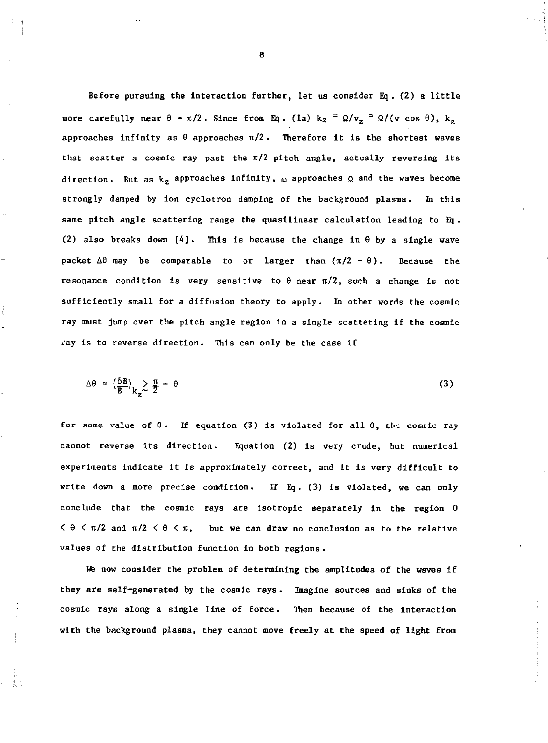Before pursuing the interaction further, let us consider Eq . (2) a little more carefully near θ = π/2. Since from Eq. (la) kz = Ω/v<sub>z</sub> = Ω/(v cos θ), k approaches infinity as  $\theta$  approaches  $\pi/2$ . Therefore it is the shortest waves that scatter a cosmic ray past the  $\pi/2$  pitch angle, actually reversing its direction. But as  $\mathrm{k}_\mathrm{z}$  approaches infinity,  $_\mathrm{\omega}$  approaches  $_\mathrm{Q}$  and the waves become strongly damped by ion cyclotron damping of the background plasma. In this same pitch angle scattering range the quasilinear calculation leading to Eq . (2) also breaks down  $[4]$ . This is because the change in  $\theta$  by a single wave packet  $\Delta\theta$  may be comparable to or larger than  $(\pi/2 - \theta)$ . Because the resonance condition is very sensitive to  $\theta$  near  $\pi/2$ , such a change is not sufficiently small for a diffusion theory to apply. In other words the cosmic ray must jump over the pitch angle region in a single scattering if the cosmic vay is to reverse direction. This can only be the case if

$$
\Delta \theta \approx \left(\frac{\delta B}{B}\right)_{\mathbf{k}_2} \ge \frac{\pi}{2} - \theta \tag{3}
$$

for some value of  $\theta$ . If equation (3) is violated for all  $\theta$ , the cosmic ray cannot reverse its direction. Equation (2) is very crude, but numerical experiments indicate It is approximately correct, and it is very difficult to write down a more precise condition. If Eq. (3) is violated, we can only conclude that the cosmic rays are isotropic separately in the region 0  $< \theta < \pi/2$  and  $\pi/2 < \theta < \pi$ , but we can draw no conclusion as to the relative values of the distribution function in both regions .

We now consider the problem of determining the amplitudes of the waves if they are self-generated by the cosmic rays. Imagine sources and sinks of the cosmic rays along a single line of force. Then because of the interaction with the background plasma, they cannot move freely at the speed of light from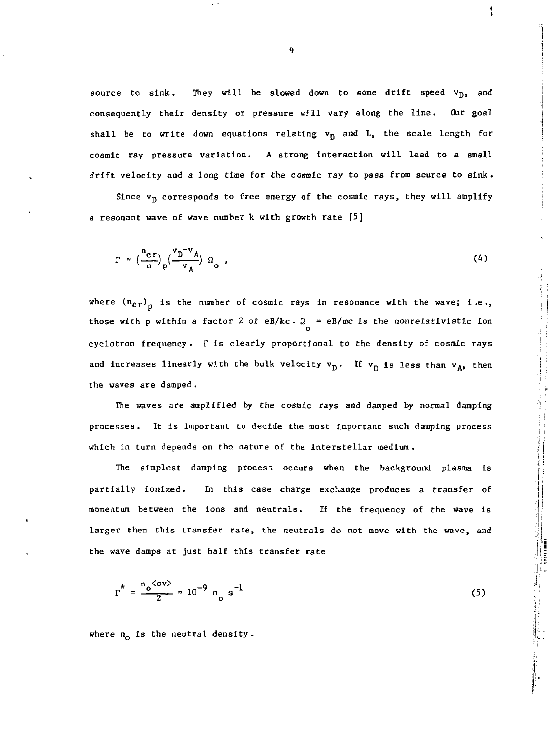source to sink. They will be slowed down to some drift speed  $v_D$ , and consequently their density or pressure will vary along the line. Our goal shall be to write down equations relating  $v_D$  and L, the scale length for cosmic ray pressure variation. A strong interaction will lead to a small drift velocity and a long time for the cosmic ray to pass from source to sink.

Since  $v_D$  corresponds to free energy of the cosmic rays, they will amplify a resonant wave of wave number k with growth rate [5]

$$
\Gamma \approx \left(\frac{n_{cr}}{n}\right) \left(\frac{v_D^{-\nu} A}{v_A}\right) \Omega_0 \quad , \tag{4}
$$

where  $(n_{cr})$ <sub>p</sub> is the number of cosmic rays in resonance with the wave; i.e., those with p within a factor 2 of eB/kc  $Q = eB/mc$  is the nonrelativistic ion o cyclotron frequency . *V* is clearly proportional to the density of cosmic rays and increases linearly with the bulk velocity  $v_p$ . If  $v_p$  is less than  $v_A$ , then the waves are damped. the waves are damped .

The waves are amplified by the cosmic rays and damped by normal damping The waves are amplified by the cosmic rays and damped by normal damping processes. It is important to decide the most important such damping process processes. It is important to decide the most important such damping process which in turn depends on the nature of the interstellar medium. which in turn depends on turn depends on the interstellar medium . The interstellar medium . The interstellar m

The simplest damping process occurs when the background plasma is The simplest damping process occurs when the background plasma  $\mathcal{F}_{\mathcal{B}}$ partially ionized. partially ionized . In this case charge exchange produces a transfer of momentum between the ions and neutrals. If the frequency of the wave is larger then this transfer rate, the neutrals do not move with the wave, and larger then this transfer rate, the neutrals do not move with the wave, and

$$
\Gamma^* = \frac{n_o \langle \sigma v \rangle}{2} \approx 10^{-9} n_o s^{-1}
$$
 (5)

where  $n_0$  is the neutral density.

the wave damps at just half this transfer rate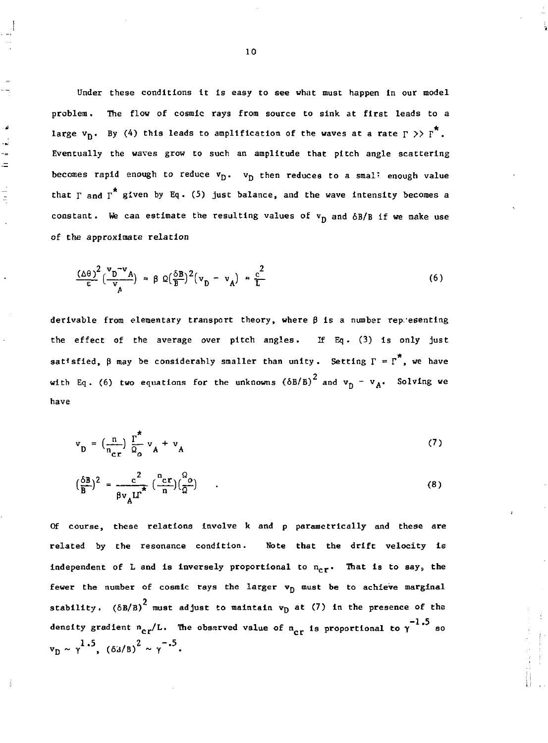**Under these conditions it is easy to see what must happen in our model problem. The flow of cosmic rays from source to sink at first leads to a**  large  $v_n$ . By (4) this leads to amplification of the waves at a rate  $r \gg r^*$ . **Eventually the waves grow to such an amplitude that pitch angle scattering**  becomes rapid enough to reduce  $v_{\text{D}}$ .  $v_{\text{D}}$  then reduces to a smal! enough value that  $\Gamma$  and  $\Gamma^*$  given by Eq. (5) just balance, and the wave intensity becomes a constant. We can estimate the resulting values of  $v_{\overline{D}}$  and  $\delta B/B$  if we make use **of the approximate relation** 

نی . ÷,  $\rightarrow$  $=$ 

 $\frac{1}{2}$ 

$$
\frac{(\Delta\theta)^2}{\epsilon} \left(\frac{v_D^{-\nu}A}{v_A}\right) \approx \beta \Omega \left(\frac{\delta B}{B}\right)^2 \left(v_D - v_A\right) \approx \frac{c^2}{L} \tag{6}
$$

**derivable from elementary transport theory, where B is a number representing the effect of the average over pitch angles. If Eq. (3) is only just**  sat<sup>t</sup> sfied,  $\beta$  may be considerably smaller than unity. Setting  $\Gamma = \Gamma^*$ , we have **2** with Eq. (6) two equations for the unknowns  $(\delta B/B)^2$  and  $v_n - v_A$ . Solving we **have** 

$$
\mathbf{v}_{\mathbf{D}} = \left(\frac{\mathbf{n}}{\mathbf{n}_{\mathbf{c}\mathbf{r}}}\right) \frac{\mathbf{r}^*}{\mathcal{Q}_{\mathbf{o}}} \mathbf{v}_{\mathbf{A}} + \mathbf{v}_{\mathbf{A}} \tag{7}
$$

$$
\left(\frac{\delta B}{B}\right)^2 = \frac{c^2}{\beta v_A L^2} \left(\frac{n_{cr}}{n}\right) \left(\frac{\delta o}{\Omega}\right) \tag{8}
$$

**Of course, these relations involve k and p parametrically and these are related by the resonance condition. Note that the drift velocity is**  independent of L and is inversely proportional to  $n_{\text{cr}}$ . That is to say, the fewer the number of cosmic rays the larger  $v_D$  must be to achieve marginal **2 stability. (6B/B) must adjust to maintain vp at (7) in the presence of the**  density gradient  $n_{cr}/L$ . The observed value of  $n_{cr}$  is proportional to  $\gamma$  <sup>-  $\sim$ </sup> so  $v_p \sim \gamma^{1.5}$ ,  $(63/B)^2 \sim \gamma^{-.5}$ .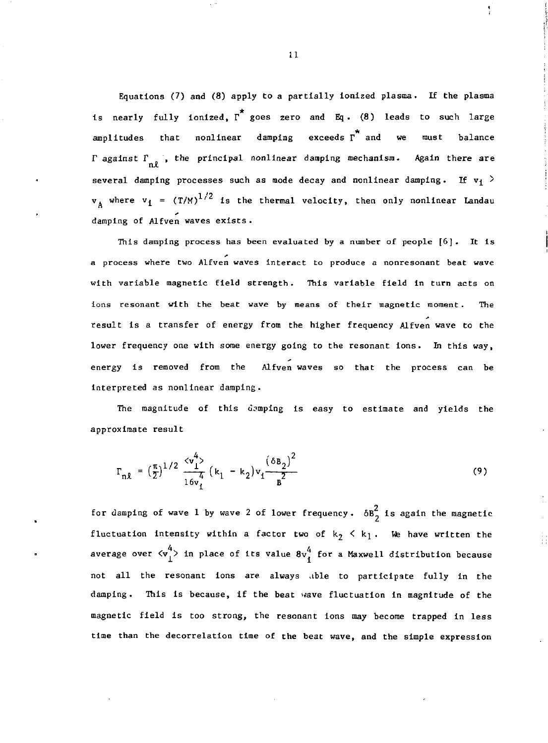Equations (7) and (8) apply to a partially ionized plasma. If the plasma is nearly fully ionized,  $\overline{r}$  goes zero and Eq. (8) leads to such large \* amplitudes that nonlinear damping exceeds r and we must balance r against *T* , the principal nonlinear damping mechanism. Again there are several damping processes such as mode decay and nonlinear damping. If  $v_1$  >  $\rm v_{1}$  where  $\rm v_{1}$  = (T/M) $\rm ^{1/2}$  is the thermal velocity, then only nonlinear Landau damping of Alfven waves exists.

This damping process has been evaluated by a number of people [6]. It is a process where two Alfven waves Interact to produce a nonresonant beat wave with variable magnetic field strength. This variable field in turn acts on ions resonant with the beat wave by means of their magnetic moment. The result is a transfer of energy from the higher frequency Alfven wave to the lower frequency one with some energy going to the resonant ions. In this way, energy is removed from the Alfven waves so that the process can be interpreted as nonlinear damping.

The magnitude of this demping is easy to estimate and yields the approximate result

$$
\Gamma_{n\ell} = \left(\frac{\pi}{2}\right)^{1/2} \frac{\langle v_1^4 \rangle}{\frac{4}{16v_1}} \left(k_1 - k_2\right) v_1 \frac{\left(\delta B_2\right)^2}{B^2} \tag{9}
$$

for damping of wave 1 by wave 2 of lower frequency.  $\delta B^2$  is again the magnetic fluctuation intensity within a factor two of  $k_2 \le k_1$ . We have written the  $^{4}$  10 place of the value  $9.4$ . average over  $v_1^{\prime}$  in prace of its value  $v_1^{\prime}$  for a Maxwell distribution because not all the resonant ions are always able to participate fully in the damping. This is because, if the beat wave fluctuation in magnitude of the magnetic field is too strong, the resonant ions may become trapped in less time than the decorrelatlon time of the beat wave, and the simple expression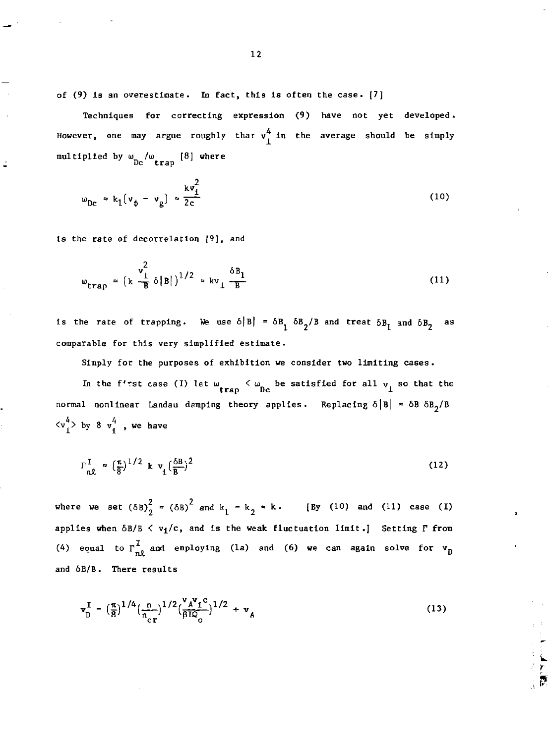of (9) is an overestimate. In fact, this is often the case. [7]

Techniques for correcting expression (9) have not yet developed. However, one may argue roughly that  $v_1^4$  in the average should be simply multiplied by  $\omega_{\rm DC}$  / $\omega_{\rm trap}$  [8] where

$$
\omega_{\rm DC} \approx k_1 (v_{\phi} - v_{\rm g}) \approx \frac{k v_{\rm 1}^2}{2c} \tag{10}
$$

is the rate of decorrelation [9], and

$$
\omega_{\text{trap}} = \left(\kappa \frac{v_{\perp}^2}{B} \delta |B|\right)^{1/2} \approx k v_{\perp} \frac{\delta B_1}{B} \tag{11}
$$

is the rate of trapping. We use  $\delta |B| = \delta B_1 \delta B_2 / B$  and treat  $\delta B_1$  and  $\delta B_2$  as comparable for this very simplified estimate.

Simply for the purposes of exhibition we consider two limiting cases. In the f'rst case (I) let  $\omega_{\text{trap}} < \omega_{\text{Dc}}$  be satisfied for all  $v_{\perp}$  so that the **track in the property of the point of the contract of the contract of the contract of the contract of the contract of the contract of the contract of the contract of the contract of the contract of the contract of the con** normal nonlinear r Landau damping theory applies. Replacing theory applies  $\mathbb{Z}$  $\langle v_1^4 \rangle$  by 8  $v_1^4$ , we have

$$
\Gamma_{\mathbf{n}\mathcal{X}}^{\mathbf{I}} \approx \left(\frac{\pi}{8}\right)^{1/2} \mathbf{k} \mathbf{v}_{\mathbf{I}} \left(\frac{\delta \mathbf{B}}{B}\right)^{2} \tag{12}
$$

where we set  $(\delta B)_{2}^{2} = (\delta B)^{2}$  and  $k_{1} - k_{2} \approx k$ . [By (10) and (11) case (I) applies when  $\delta B/B < v_1/c$ , and is the weak fluctuation limit.] Setting  $\Gamma$  from (4) equal to  $r_{n\ell}^I$  and employing (1a) and (6) we can again solve for  $v_p$ and 6B/B. There results

$$
\mathbf{v}_{\mathrm{D}}^{\mathrm{I}} = \left(\frac{\pi}{8}\right)^{1/4} \left(\frac{n}{n_{\mathrm{cr}}}\right)^{1/2} \left(\frac{\mathbf{v}_{A} \mathbf{v}_{\mathrm{f}} \mathbf{c}}{\beta \mathrm{I} \mathcal{Q}_{\mathrm{o}}}\right)^{1/2} + \mathbf{v}_{A} \tag{13}
$$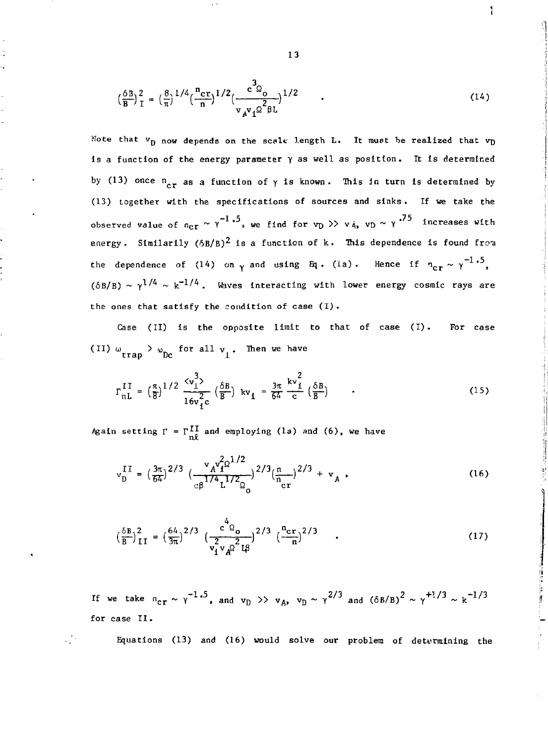$$
\left(\frac{\delta B}{B}\right)_I^2 = \left(\frac{8}{\pi}\right)^{1/4} \left(\frac{n_{cr}}{n}\right)^{1/2} \left(\frac{c^3 \rho_0}{v_A v_I \rho^2 \beta L}\right)^{1/2} \tag{14}
$$

**1** 

计可选择 医红色蛋白

Note that  $v_D$  now depends on the scale length L. It must be realized that  $v_D$ is a function of the energy parameter *y* as well as position. It is determined by (13) once  $n_{cr}$  as a function of  $\gamma$  is known. This in turn is determined by (13) together with the specifications of sources and sinks . If we take the observed value of  $n_{\text{cr}} \sim \gamma$  . We find for  $v_D \gg v_A$ ,  $v_D \sim \gamma$  . Increases with energy. Similarily  $(6B/B)^2$  is a function of k. This dependence is found from the dependence of (14) on  $\gamma$  and using Eq. (1a). Hence if  $n_{cr} \sim \gamma^{-1.5}$ ,  $(\delta B/B) \sim \gamma^{1/4} \sim k^{-1/4}$ . Waves interacting with lower energy cosmic rays are the ones that satisfy the condition of case (I) .

Case (II) is the opposite limit to that of case (I). For case (II)  $\omega_{\text{trap}} > \omega_{\text{DC}}$  for all  $v_{\perp}$ . Then we have

$$
\Gamma_{\text{nL}}^{\text{II}} = \left(\frac{\pi}{8}\right)^{1/2} \frac{\langle \mathbf{v}_1^3 \rangle}{16\mathbf{v}_1^2 c} \left(\frac{\delta B}{B}\right) \mathbf{kv}_1 = \frac{3\pi}{64} \frac{\mathbf{k} \mathbf{v}_1^2}{c} \left(\frac{\delta B}{B}\right) \tag{15}
$$

Again setting  $\Gamma = \Gamma \frac{\Pi}{n\theta}$  and employing (la) and (6), we have

чD

$$
v_D^{II} = \left(\frac{3\pi}{64}\right)^{2/3} \left(\frac{v_A v_I^{2\Omega^{1/2}}}{c\beta^{1/4} L^{1/2} \Omega_0}\right)^{2/3} \left(\frac{n}{n_{cr}}\right)^{2/3} + v_A,
$$
 (16)

$$
\left(\frac{\delta B}{B}\right)^2_{II} = \left(\frac{64}{3\pi}\right)^{2/3} \left(\frac{c^4 \Omega_o}{\frac{2}{v_1 v_A \Omega^2} \Omega}\right)^{2/3} \left(\frac{n_{cr}}{n}\right)^{2/3} \quad . \tag{17}
$$

If we take  $n_{cr}\sim \gamma^{-1.5}$ , and  $v_D\to v_A$ ,  $v_D\sim \gamma^{2/3}$  and  $\left(\delta B/B\right)^2\sim \gamma^{+1/3}\sim k^{-1/3}$ for case II .

Equations (13) and (16) would solve our problem of determining the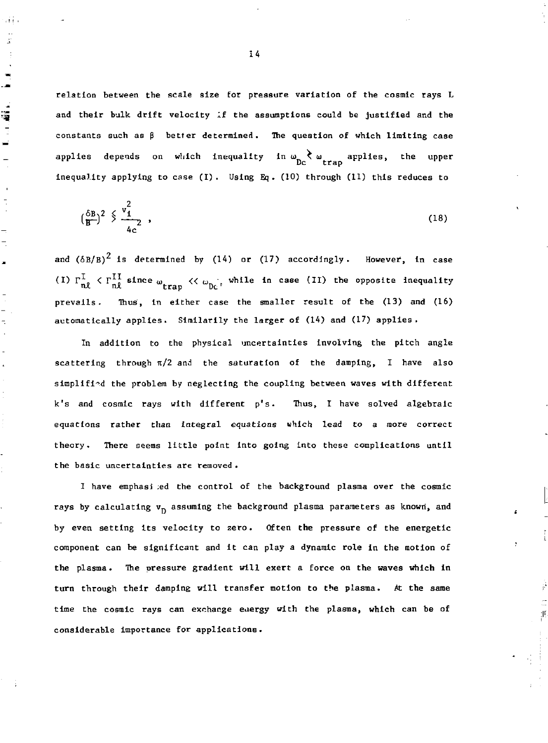relation between the scale size for pressure variation of the cosmic rays L and their bulk drift velocity If the assumptions could be justified and the constants such as  $\beta$  better determined. The question of which limiting case applies depends on which inequality in  $\omega_{\rm bc}$   $\chi$   $\omega_{\rm tran}$  applies, the upper Dc trap inequality applying to case (I). Using Eq. (10) through (11) this reduces to

$$
\left(\frac{\delta B}{B}\right)^2 \stackrel{\diamond}{\searrow} \frac{v_1^2}{4c} \quad , \tag{18}
$$

and  $(\delta B/B)^2$  is determined by (14) or (17) accordingly. However, in case (I)  $\Gamma_{n,0}^{\perp}$   $\langle \Gamma_{n,0}^{1,1} \rangle$  since  $\omega_{n,1}$ ,  $\langle \langle \omega_{n,1} \rangle$ , while in case (II) the opposite inequality  $t_{\text{tot}}$  and  $t_{\text{t}}$  be  $\alpha$ prevails. Thus, in either case the smaller result of the (13) and (16) automatically applies. Similarily the larger of (14) and (17) applies.

In addition to the physical uncertainties involving the pitch angle scattering through  $\pi/2$  and the saturation of the damping, I have also simplified the problem by neglecting the coupling between waves with different k's and cosmic rays with different p's. Thus, I have solved algebraic equations rather than integral equations which lead to a more correct theory. Ibere seems little point into going into these complications until the basic uncertainties are removed .

I have emphasi ;ed the control of the background plasma over the cosmic rays by calculating  $v_{p}$  assuming the background plasma parameters as known, and by even setting its velocity to zero. Often the pressure of the energetic component can be significant and it can play a dynamic role in the motion of the plasma. The pressure gradient will exert a force on the waves which in turn through their damping will transfer motion to the plasma. At the same time the cosmic rays can exchange eaergy with the plasma, which can be of considerable importance for applications.

j٢,

14

ni i  $\frac{1}{2}$ 

 $\blacksquare$ د.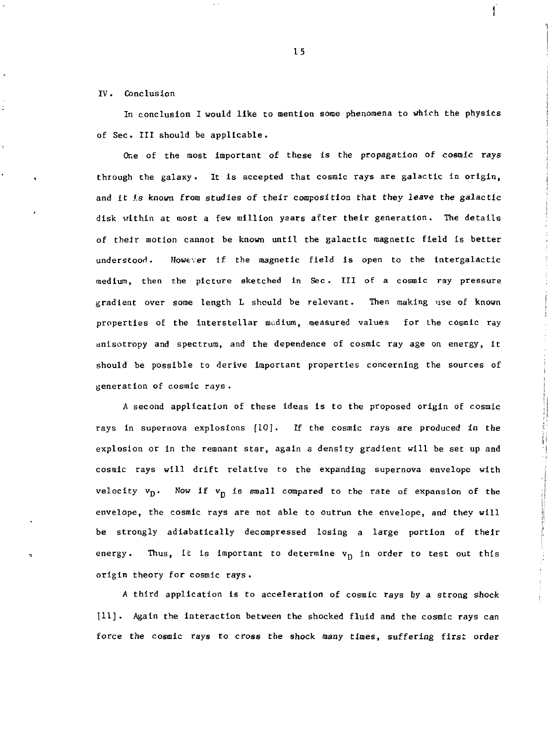### IV. Conclusion

In conclusion I would like to mention some phenomena to which the physics of Sec. Ill should be applicable.

One of the most important of these is the propagation of cosmic rays through the galaxy. It is accepted that cosmic rays are galactic in origin, and it is known from studies of their composition that they leave the galactic disk within at most a few million years after their generation. The details of their motion cannot be known until the galactic magnetic field is better understood. However If the magnetic field is open to the intergalactlc medium, then the picture sketched in Sec . Ill of a cosmic ray pressure gradient over some length L should be relevant. Then making use of known properties of the interstellar medium, measured values for the cosmic ray anisotropy and spectrum, and the dependence of cosmic ray age on energy, it should be possible to derive important properties concerning the sources of generation of cosmic rays .

A second application of these ideas is to the proposed origin of cosmic rays in supernova explosions [10]. If the cosmic rays are produced in the explosion or in the remnant star, again a density gradient will be set up and cosmic rays will drift relative to the expanding supernova envelope with velocity  $v_p$ . Now if  $v_p$  is small compared to the rate of expansion of the envelope, the cosmic rays are not able to outrun the envelope, and they will be strongly adiabatically decompressed losing a large portion of their energy. Thus, it is important to determine  $v_D$  in order to test out this origin theory for cosmic rays .

*A* third application is to acceleration of cosmic rays by a strong shock [11] . Again the interaction between the shocked fluid and the cosmic rays can force the cosmic rays to cross the shock many times, suffering first order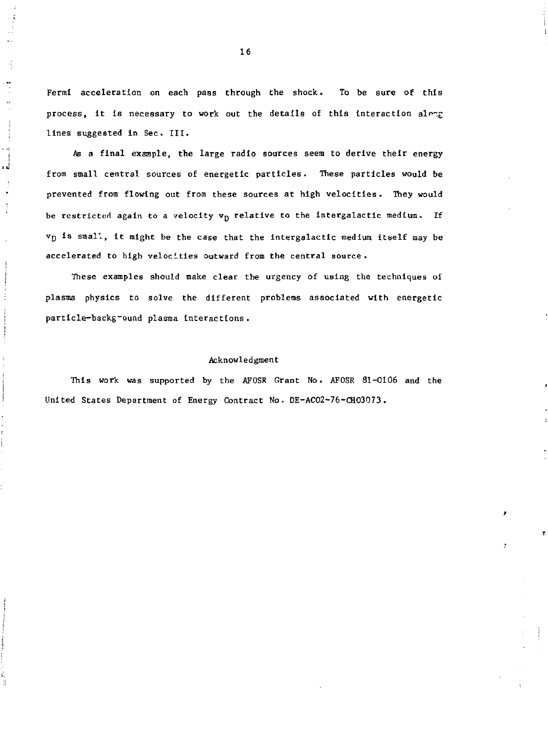Fermi acceleration on each pass through the shock. To be sure of this process, it is necessary to work out the details of this interaction along lines suggested in Sec. III.

 $\ddot{\cdot}$ 

ᆑ

 $\ddot{1}$ 

As a final example, the large radio sources seem to derive their energy from small central sources of energetic particles. These particles would be prevented from flowing out from these sources at high velocities. They would be restricted again to a velocity  $v_D$  relative to the intergalactic medium. If Vp is small, it might be the case that the Intergalactic medium itself may be accelerated to high velocities outward from the central source .

These examples should make clear the urgency of using the techniques ol plasma physics to solve the different problems associated with energetic particle-backg-ound plasma Interactions.

#### Acknowledgment

This work was supported by the AFOSR Grant No. AFOSR 81-0106 and the United States Department of Energy Contract No.. DE-ACO2-76-CHO3073.